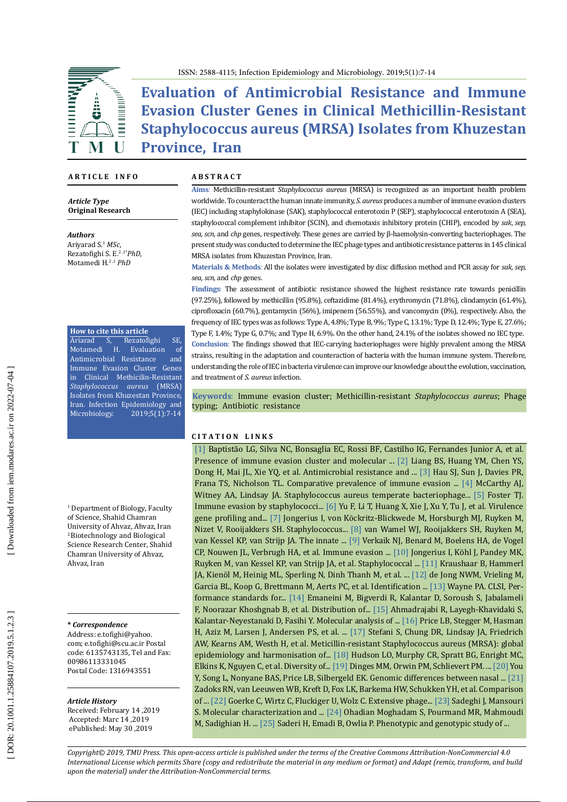

ISSN: 2588-4115; Infection Epidemiology and Microbiology. 2019;5(1):7-14

**Evaluation of Antimicrobial Resistance and Immune Evasion Cluster Genes in Clinical Methicillin-Resistant Staphylococcus aureus (MRSA) Isolates from Khuzestan Province, Iran**

#### **A R T I C L E I N F O**

*Article Type* **Original Research**

*Authors*

Ariyarad S. <sup>1</sup> *MSc*, Rezatofighi S. E. 2 , 1 \* *PhD*, Motamedi H. 2 , <sup>1</sup> *PhD*

**How to cite this article**<br>Ariarad S, Rezatof<br>medi H. Evalu Ariarad S, Rezatofighi SE<br>Motamedi H. Evaluation of Evaluation of<br>esistance and Antimicrobial Resistance Immune Evasion Cluster Genes in Clinical Methicilin-Resistant *Staphylococcus aureus* (MRSA) Isolates from Khuzestan Province, Iran. Infection Epidemiology and Microbiology. ; 5 ) 1 ( : 7 -14

1 Department of Biology, Faculty of Science, Shahid Chamran University of Ahvaz, Ahvaz, Iran <sup>2</sup>Biotechnology and Biological Science Research Center, Shahid Chamran University of Ahvaz, Ahvaz, Iran

#### **\*** *Correspondence*

Address: e.tofighi@yahoo. com; e.tofighi@scu.ac.ir Postal code: 6135743135, Tel and Fax: 00986113331045 Postal Code: 1316943551

#### *Article History*

Received: February 14 ,2019 Accepted: Marc 14 ,2019 ePublished: May 30 ,2019

#### **A B S T R A C T**

**Aims***:* Methicillin-resistant *Staphylococcus aureus* (MRSA) is recognized as an important health problem worldwide. To counteract the human innate immunity, *S. aureus* produces a number of immune evasion clusters (IEC) including staphylokinase (SAK), staphylococcal enterotoxin P (SEP), staphylococcal enterotoxin A (SEA), staphylococcal complement inhibitor (SCIN), and chemotaxis inhibitory protein (CHIP), encoded by *sak*, *sep*, *sea*, *scn*, and *chp* genes, respectively. These genes are carried by β-haemolysin-converting bacteriophages. The present study was conducted to determine the IEC phage types and antibiotic resistance patterns in 145 clinical MRSA isolates from Khuzestan Province, Iran.

**Materials & Methods***:* All the isolates were investigated by disc diffusion method and PCR assay for *sak*, *sep*, *sea*, *scn*, and *chp* genes.

**Findings** : The assessment of antibiotic resistance showed the highest resistance rate towards penicillin (97.25%), followed by methicillin (95.8%), ceftazidime (81.4%), erythromycin (71.8%), clindamycin (61.4%), ciprofloxacin (60.7%), gentamycin (56%), imipenem (56.55%), and vancomycin (0%), respectively. Also, the frequency of IEC types was as follows: Type A, 4.8%; Type B, 9%; Type C, 13.1%; Type D, 12.4%; Type E, 27.6%; Type F, 1.4%; Type G, 0.7%; and Type H, 6.9%. On the other hand, 24.1% of the isolates showed no IEC type. **Conclusion**: The findings showed that IEC-carrying bacteriophages were highly prevalent among the MRSA strains, resulting in the adaptation and counteraction of bacteria with the human immune system. Therefore, understanding the role of IEC in bacteria virulence can improve our knowledge about the evolution, vaccination, and treatment of *S. aureus* infection.

**Keywords**: Immune evasion cluster; Methicillin-resistant *Staphylococcus aureus*; Phage typing; Antibiotic resistance

#### **C I T A T I O N L I N K S**

[\[1\]](https://www.ncbi.nlhttps://www.ncbi.nlm.nih.gov/pubmed/27052876/m.nih.gov/pubmed/27052876/) Baptistão LG, Silva NC, Bonsaglia EC, Rossi BF, Castilho IG, Fernandes Junior A, et al. Presence of immune evasion cluster and molecular ... [\[2\]](https://www.ncbi.nlm.nih.gov/m/pubmed/29201229/) Liang BS, Huang YM, Chen YS, Dong H, Mai JL, Xie YQ, et al. Antimicrobial resistance and ... [\[3\]](https://www.ncbi.nlm.nih.gov/pubmed/26554919) Hau SJ, Sun J, Davies PR, Frana TS, Nicholson TL. Comparative prevalence of immune evasion ... [\[4\]](https://www.ncbi.nlm.nih.gov/pubmed/22919598) McCarthy AJ, Witney AA, Lindsay JA. Staphylococcus aureus temperate bacteriophage... [\[5\]](https://www.ncbi.nlm.nih.gov/pubmed/16322743) Foster TJ. Immune evasion by staphylococci... [\[6\]](https://www.ncbi.nlm.nih.gov/pubmed/23021064) Yu F, Li T, Huang X, Xie J, Xu Y, Tu J, et al. Virulence gene profiling and... [\[7\]](https://www.ncbi.nlm.nih.gov/pubmed/22327617) Jongerius I, von Köckritz-Blickwede M, Horsburgh MJ, Ruyken M, Nizet V, Rooijakkers SH. Staphylococcus... [\[8\]](https://www.ncbi.nlm.nih.gov/pubmed/16452413) van Wamel WJ, Rooijakkers SH, Ruyken M, van Kessel KP, van Strijp JA. The innate ... [\[9\]](https://www.ncbi.nlm.nih.gov/pubmed/20370801) Verkaik NJ, Benard M, Boelens HA, de Vogel CP, Nouwen JL, Verbrugh HA, et al. Immune evasion ... [\[10\]](https://www.ncbi.nlm.nih.gov/pubmed/17893203) Jongerius I, Köhl J, Pandey MK, Ruyken M, van Kessel KP, van Strijp JA, et al. Staphylococcal ... [\[11\]](https://www.ncbi.nlm.nih.gov/pmc/articles/PMC5435737/) Kraushaar B, Hammerl JA, Kienöl M, Heinig ML, Sperling N, Dinh Thanh M, et al. ... [\[12\]](https://www.ncbi.nlm.nih.gov/pubmed/29414776) de Jong NWM, Vrieling M, Garcia BL, Koop G, Brettmann M, Aerts PC, et al. Identification ... [\[13\]](https://clsi.org/media/1469/m100s27_sample.pdf) Wayne PA. CLSI, Per formance standards for... [\[14\]](https://www.ncbi.nlm.nih.gov/pubmed/24133400) Emaneini M, Bigverdi R, Kalantar D, Soroush S, Jabalameli F, Noorazar Khoshgnab B, et al. Distribution of... [\[15\]](https://www.ncbi.nlm.nih.gov/pubmed/29707662) Ahmadrajabi R, Layegh-Khavidaki S, Kalantar-Neyestanaki D, Fasihi Y. Molecular analysis of ... [\[16\]](https://www.ncbi.nlm.nih.gov/pubmed/22354957) Price LB, Stegger M, Hasman H, Aziz M, Larsen J, Andersen PS, et al. ... [\[17\]](https://www.ncbi.nlm.nih.gov/pubmed/22230333) Stefani S, Chung DR, Lindsay JA, Friedrich AW, Kearns AM, Westh H, et al. Meticillin-resistant Staphylococcus aureus (MRSA): global epidemiology and harmonisation of... [\[18\]](https://www.ncbi.nlm.nih.gov/pubmed/23637976) Hudson LO, Murphy CR, Spratt BG, Enright MC, Elkins K, Nguyen C, et al. Diversity of... [\[19\]](https://www.ncbi.nlm.nih.gov/pubmed/10627489) Dinges MM, Orwin PM, Schlievert PM. ... [\[20\]](https://www.ncbi.nlm.nih.gov/pubmed/29509797) You Y, Song L, Nonyane BAS, Price LB, Silbergeld EK. Genomic differences between nasal ... [\[21\]](https://www.ncbi.nlm.nih.gov/pubmed/12409348)  Zadoks RN, van Leeuwen WB, Kreft D, Fox LK, Barkema HW, Schukken YH, et al. Comparison of ... [\[22\]](https://www.ncbi.nlm.nih.gov/pubmed/16968231) Goerke C, Wirtz C, Fluckiger U, Wolz C. Extensive phage... [\[23\]](https://www.ncbi.nlm.nih.gov/pubmed/24033803) Sadeghi J, Mansouri S. Molecular characterization and ... [\[24\]](https://www.ncbi.nlm.nih.gov/pubmed/25795589) Ohadian Moghadam S, Pourmand MR, Mahmoudi M, Sadighian H. ... [\[25\]](https://www.ncbi.nlm.nih.gov/pubmed/21278685) Saderi H, Emadi B, Owlia P. Phenotypic and genotypic study of ...

*Copyright© 2019, TMU Press. This open-access article is published under the terms of the Creative Commons Attribution-NonCommercial 4.0 International License which permits Share (copy and redistribute the material in any medium or format) and Adapt (remix, transform, and build upon the material) under the Attribution-NonCommercial terms.*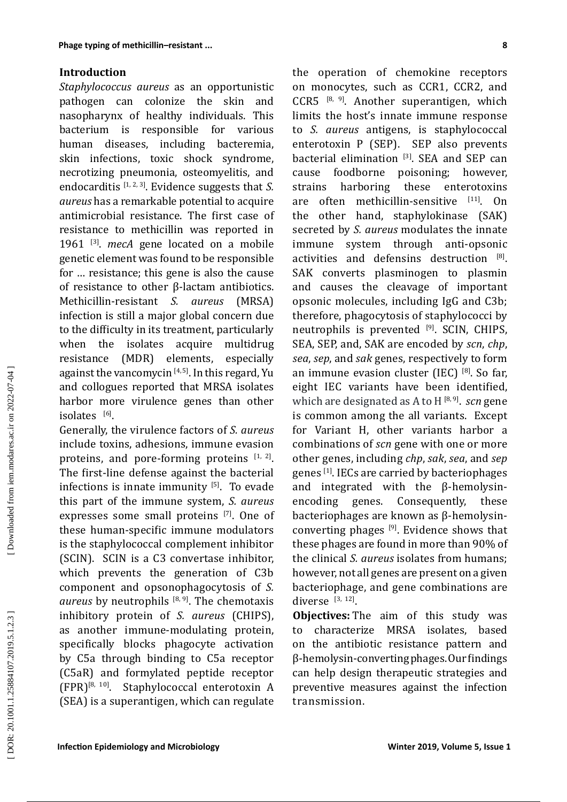## **Introduction**

*Staphylococcus aureus* as an opportunistic pathogen can colonize the skin and nasopharynx of healthy individuals. This bacterium is responsible for various human diseases, including bacteremia, skin infections, toxic shock syndrome, necrotizing pneumonia, osteomyelitis, and endocarditis [1, 2, 3]. Evidence suggests that *S. aureus* has a remarkable potential to acquire antimicrobial resistance. The first case of resistance to methicillin was reported in 1961 [3]. *mecA* gene located on a mobile genetic element was found to be responsible for … resistance; this gene is also the cause of resistance to other β-lactam antibiotics. Methicillin-resistant *S. aureus* (MRSA) infection is still a major global concern due to the difficulty in its treatment, particularly<br>when the isolates acquire multidrug when the isolates acquire multidrug<br>resistance (MDR) elements, especially resistance (MDR) elements, against the vancomycin<sup>[4, 5]</sup>. In this regard, Yu and collogues reported that MRSA isolates harbor more virulence genes than other isolates [6].

Generally, the virulence factors of *S. aureus* include toxins, adhesions, immune evasion proteins, and pore-forming proteins  $[1, 2]$ . The first-line defense against the bacterial infections is innate immunity  $[5]$ . To evade this part of the immune system, *S. aureus*  expresses some small proteins [7]. One of these human-specific immune modulators is the staphylococcal complement inhibitor (SCIN). SCIN is a C3 convertase inhibitor, which prevents the generation of C3b component and opsonophagocytosis of *S. aureus* by neutrophils [8, 9]. The chemotaxis inhibitory protein of *S. aureus* (CHIPS), as another immune-modulating protein, specifically blocks phagocyte activation by C5a through binding to C5a receptor (C5aR) and formylated peptide receptor<br>(FPR) $^{[8, 10]}$ . Staphylococcal enterotoxin A Staphylococcal enterotoxin A (SEA) is a superantigen, which can regulate

**Phage Symie of methodiin-resistent.** the operation of chemolicity representation of Sigmal Suppley and Suppley and Suppley and Suppley and Suppley and Suppley and Suppley and Suppley and Suppley and Suppley and Suppley an the operation of chemokine receptors on monocytes, such as CCR1, CCR2, and CCR5  $[8, 9]$ . Another superantigen, which limits the host's innate immune response to *S. aureus* antigens, is staphylococcal enterotoxin P (SEP). SEP also prevents bacterial elimination  $\begin{bmatrix} 3 \end{bmatrix}$ . SEA and SEP can cause foodborne poisoning; however, cause foodborne poisoning<br>strains harboring these strains harboring these enterotoxins are often methicillin-sensitive [11]. On the other hand, staphylokinase (SAK) secreted by *S. aureus* modulates the innate immune system through anti-opsonic activities and defensins destruction [8]. SAK converts plasminogen to plasmin and causes the cleavage of important opsonic molecules, including IgG and C3b; therefore, phagocytosis of staphylococci by neutrophils is prevented [9]. SCIN, CHIPS, SEA, SEP, and, SAK are encoded by *scn*, *chp*, *sea*, *sep*, and *sak* genes, respectively to form an immune evasion cluster (IEC) [8]. So far, eight IEC variants have been identified, which are designated as A to H<sup>[8,9]</sup>. *scn* gene is common among the all variants. Except for Variant H, other variants harbor a combinations of *scn* gene with one or more other genes, including *chp*, *sak*, *sea*, and *sep*  genes [1]. IECs are carried by bacteriophages and integrated with the  $\beta$ -hemolysin-<br>encoding genes. Consequently, these encoding genes. Consequently, these bacteriophages are known as β-hemolysinconverting phages  $[9]$ . Evidence shows that these phages are found in more than 90% of the clinical *S. aureus* isolates from humans; however, not all genes are present on a given bacteriophage, and gene combinations are diverse  $[3, 12]$ .

**Objectives:** The aim of this study was to characterize MRSA isolates, based on the antibiotic resistance pattern and β-hemolysin-converting phages. Our findings can help design therapeutic strategies and preventive measures against the infection transmission.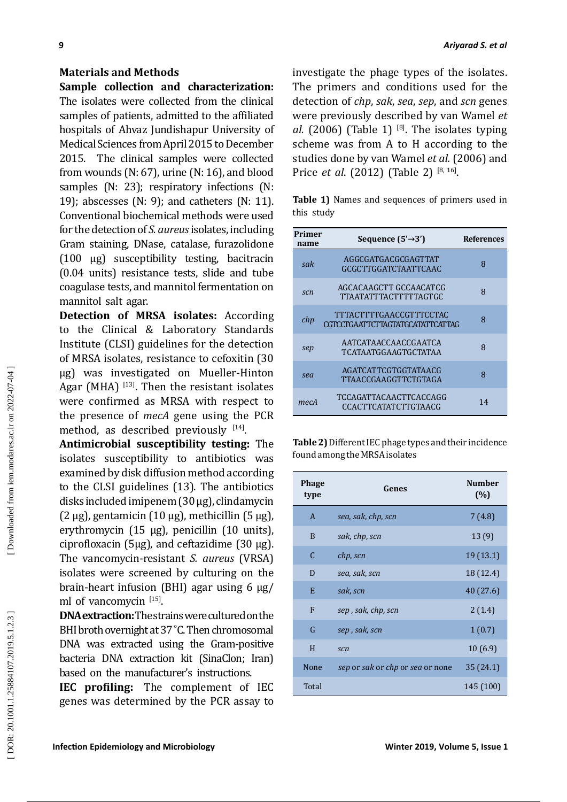### **Materials and Methods**

**9**<br> **Materials and Methods**<br> **Stample collection and characterization:** The primaris and conditions coal to the<br> **Stample collection and the characterization** (the primaris and conditions coalled conditions (and the fill **Sample collection and characterization:**  The isolates were collected from the clinical samples of patients, admitted to the affiliated hospitals of Ahvaz Jundishapur University of Medical Sciences from April 2015 to December 2015. The clinical samples were collected from wounds (N: 67), urine (N: 16), and blood samples (N: 23); respiratory infections (N: 19); abscesses (N: 9); and catheters (N: 11). Conventional biochemical methods were used for the detection of *S. aureus* isolates, including Gram staining, DNase, catalase, furazolidone (100 µg) susceptibility testing, bacitracin (0.04 units) resistance tests, slide and tube coagulase tests, and mannitol fermentation on mannitol salt agar.

**Detection of MRSA isolates:** According to the Clinical & Laboratory Standards Institute (CLSI) guidelines for the detection of MRSA isolates, resistance to cefoxitin (30 μg) was investigated on Mueller-Hinton Agar (MHA)  $[13]$ . Then the resistant isolates were confirmed as MRSA with respect to the presence of *mecA* gene using the PCR method, as described previously  $[14]$ .

**Antimicrobial susceptibility testing:** The isolates susceptibility to antibiotics was examined by disk diffusion method according to the CLSI guidelines (13). The antibiotics disks included imipenem (30 μg), clindamycin (2 μg), gentamicin (10 μg), methicillin (5 μg), erythromycin (15 μg), penicillin (10 units), ciprofloxacin (5μg), and ceftazidime (30 μg). The vancomycin-resistant *S. aureus* (VRSA) isolates were screened by culturing on the brain-heart infusion (BHI) agar using 6 μg/ ml of vancomycin [15].

**DNA extraction:** The strains were cultured on the BHI broth overnight at 37 °C. Then chromosomal DNA was extracted using the Gram-positive bacteria DNA extraction kit (SinaClon; Iran) based on the manufacturer's instructions.

**IEC profiling:** The complement of IEC genes was determined by the PCR assay to *Ariyarad S. et al*

investigate the phage types of the isolates. The primers and conditions used for the detection of *chp*, *sak*, *sea*, *sep*, and *scn* genes were previously described by van Wamel *et al.* (2006) (Table 1)  $^{[8]}$ . The isolates typing scheme was from A to H according to the studies done by van Wamel *et al.* (2006) and Price *et al.* (2012) (Table 2) <sup>[8, 16]</sup>.

**Table 1)** Names and sequences of primers used in this study

| Primer<br>name | Sequence $(5' \rightarrow 3')$                                            | <b>References</b> |
|----------------|---------------------------------------------------------------------------|-------------------|
| sak            | AGGCGATGACGCGAGTTAT<br>GCGCTTGGATCTAATTCAAC                               | 8                 |
| scn            | AGCACAAGCTT GCCAACATCG<br>TTA ATATTTA CTTTTTA GTGC                        | 8                 |
| chp            | <b>TTTACTTTTGAACCGTTTCCTAC</b><br><b>CGTCCTGAATTCTTAGTATGCATATTCATTAG</b> | 8                 |
| sep            | AATCATAACCAACCGAATCA<br>TCATA ATGGA AGTGCTATA A                           | 8                 |
| sea            | AGATCATTCGTGGTATAACG<br>TTAACCGAAGGTTCTGTAGA                              | 8                 |
| mecA           | <b>TCCAGATTACAACTTCACCAGG</b><br><b>CCACTTCATATCTTGTAACG</b>              | 14                |

**Table 2)** Different IEC phage types and their incidence found among the MRSA isolates

| <b>Phage</b><br>type | Genes                            | <b>Number</b><br>(%) |
|----------------------|----------------------------------|----------------------|
| $\mathsf{A}$         | sea, sak, chp, scn               | 7 (4.8)              |
| B                    | sak, chp, scn                    | 13(9)                |
| $\mathcal{C}$        | chp, scn                         | 19 (13.1)            |
| D                    | sea, sak, scn                    | 18 (12.4)            |
| E                    | sak, scn                         | 40 (27.6)            |
| F                    | sep, sak, chp, scn               | 2(1.4)               |
| G                    | sep, sak, scn                    | 1(0.7)               |
| H                    | scn                              | 10(6.9)              |
| None                 | sep or sak or chp or sea or none | 35 (24.1)            |
| Total                |                                  | 145 (100)            |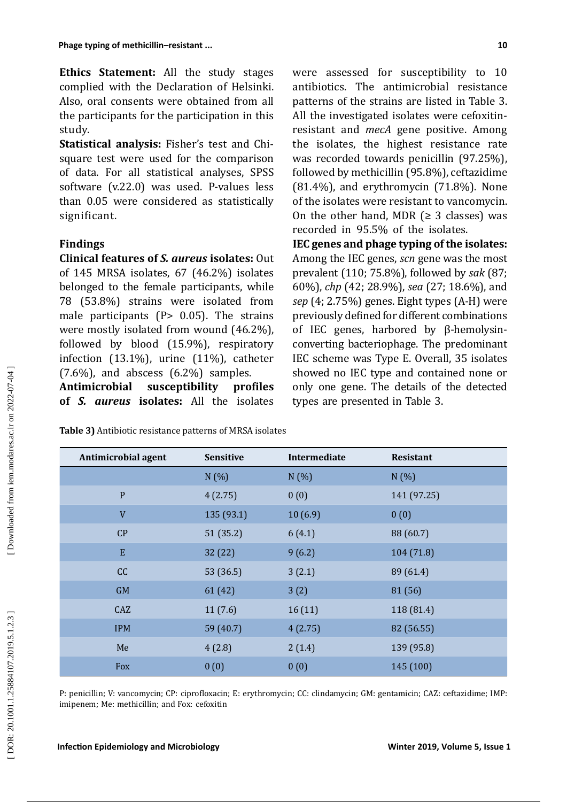**Ethics Statement:** All the study stages complied with the Declaration of Helsinki. Also, oral consents were obtained from all the participants for the participation in this study.

**Statistical analysis:** Fisher's test and Chisquare test were used for the comparison of data. For all statistical analyses, SPSS software (v.22.0) was used. P-values less than 0.05 were considered as statistically significant.

# **Findings**

**Clinical features of** *S. aureus* **isolates:** Out of 145 MRSA isolates, 67 (46.2%) isolates belonged to the female participants, while 78 (53.8%) strains were isolated from male participants ( $P > 0.05$ ). The strains were mostly isolated from wound (46.2%), followed by blood (15.9%), respiratory infection (13.1%), urine (11%), catheter  $(7.6\%)$ , and abscess  $(6.2\%)$  samples.

**Antimicrobial susceptibility profiles of** *S. aureus* **isolates:** All the isolates

**Table 3)** Antibiotic resistance patterns of MRSA isolates

were assessed for susceptibility to 10 antibiotics. The antimicrobial resistance patterns of the strains are listed in Table 3. All the investigated isolates were cefoxitinresistant and *mecA* gene positive. Among the isolates, the highest resistance rate was recorded towards penicillin (97.25%), followed by methicillin (95.8%), ceftazidime  $(81.4\%)$ , and erythromycin  $(71.8\%)$ . None of the isolates were resistant to vancomycin. On the other hand, MDR  $(≥ 3$  classes) was recorded in 95.5% of the isolates.

**IEC genes and phage typing of the isolates:**  Among the IEC genes, *scn* gene was the most prevalent (110; 75.8%), followed by *sak* (87; 60%), *chp* (42; 28.9%), *sea* (27; 18.6%), and *sep* (4; 2.75%) genes. Eight types (A-H) were previously defined for different combinations of IEC genes, harbored by β-hemolysinconverting bacteriophage. The predominant IEC scheme was Type E. Overall, 35 isolates showed no IEC type and contained none or only one gene. The details of the detected types are presented in Table 3.

IPM 59 (40.7)  $4(2.75)$  82 (56.55) Me 4 (2.8) 2 (1.4) 139 (95.8) Fox  $0 (0)$  0 (0) 145 (100)

**Antimicrobial agent Sensitive Intermediate Resistant**

P 4 (2.75) 0 (0) 141 (97.25)

 $V = 135 (93.1)$   $10 (6.9)$   $0 (0)$ 

 $CP$  51 (35.2) 6 (4.1) 88 (60.7)

CC 53 (36.5)  $3(2.1)$  89 (61.4)

 $\text{CAZ}$  11 (7.6) 16 (11) 118 (81.4)

GM 61 (42)  $3(2)$  81 (56)

E  $32(22)$  9 (6.2)  $104(71.8)$ 

 $N(\%)$   $N(\%)$   $N(\%)$ 

P: penicillin; V: vancomycin; CP: ciprofloxacin; E: erythromycin; CC: clindamycin; GM: gentamicin; CAZ: ceftazidime; IMP: imipenem; Me: methicillin; and Fox: cefoxitin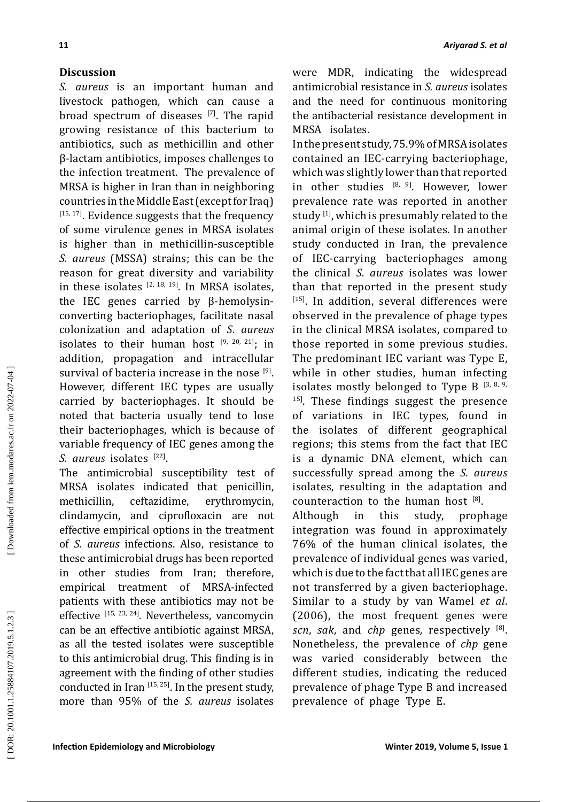## **Discussion**

*S. aureus* is an important human and livestock pathogen*,* which can cause a broad spectrum of diseases [7]. The rapid growing resistance of this bacterium to antibiotics, such as methicillin and other β-lactam antibiotics, imposes challenges to the infection treatment. The prevalence of MRSA is higher in Iran than in neighboring countries in the Middle East (except for Iraq) [15, 17]. Evidence suggests that the frequency of some virulence genes in MRSA isolates is higher than in methicillin ‑susceptible *S. aureus* (MSSA) strains; this can be the reason for great diversity and variability in these isolates  $[2, 18, 19]$ . In MRSA isolates, the IEC genes carried by β-hemolysinconverting bacteriophages, facilitate nasal colonization and adaptation of *S*. *aureus*  isolates to their human host  $[9, 20, 21]$ ; in addition, propagation and intracellular survival of bacteria increase in the nose [9]. However, different IEC types are usually carried by bacteriophages. It should be noted that bacteria usually tend to lose their bacteriophages, which is because of variable frequency of IEC genes among the *S. aureus* isolates [22].

The antimicrobial susceptibility test of MRSA isolates indicated that penicillin, methicillin, ceftazidime, erythromycin, clindamycin, and ciprofloxacin are not effective empirical options in the treatment of *S. aureus* infections. Also, resistance to these antimicrobial drugs has been reported in other studies from Iran; therefore, empirical treatment of MRSA-infected patients with these antibiotics may not be effective [15, 23, 24]. Nevertheless, vancomycin can be an effective antibiotic against MRSA, as all the tested isolates were susceptible to this antimicrobial drug. This finding is in agreement with the finding of other studies conducted in Iran  $[15, 25]$ . In the present study, more than 95% of the *S. aureus* isolates were MDR, indicating the widespread antimicrobial resistance in *S. aureus* isolates and the need for continuous monitoring the antibacterial resistance development in MRSA isolates.

In the present study, 75.9% of MRSA isolates contained an IEC-carrying bacteriophage, which was slightly lower than that reported in other studies  $[8, 9]$ . However, lower prevalence rate was reported in another study  $[1]$ , which is presumably related to the animal origin of these isolates. In another study conducted in Iran, the prevalence of IEC-carrying bacteriophages among the clinical *S. aureus* isolates was lower than that reported in the present study [15]. In addition, several differences were observed in the prevalence of phage types in the clinical MRSA isolates, compared to those reported in some previous studies. The predominant IEC variant was Type E, while in other studies, human infecting isolates mostly belonged to Type B  $[3, 8, 9, 6]$ <sup>15]</sup>. These findings suggest the presence of variations in IEC types, found in the isolates of different geographical regions; this stems from the fact that IEC is a dynamic DNA element, which can successfully spread among the *S. aureus* isolates, resulting in the adaptation and counteraction to the human host  $[8]$ .

Although in this study, prophage integration was found in approximately 76% of the human clinical isolates, the prevalence of individual genes was varied, which is due to the fact that all IEC genes are not transferred by a given bacteriophage. Similar to a study by van Wamel *et al*. (2006), the most frequent genes were *scn*, *sak*, and *chp* genes *,* respectively [8]. Nonetheless, the prevalence of *chp* gene was varied considerably between the different studies, indicating the reduced prevalence of phage Type B and increased prevalence of phage Type E.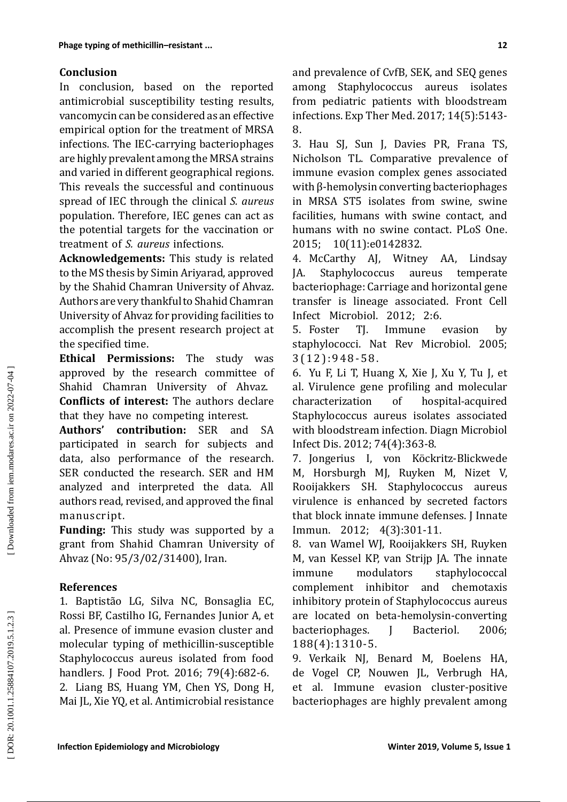## **Conclusion**

In conclusion, based on the reported antimicrobial susceptibility testing results, vancomycin can be considered as an effective empirical option for the treatment of MRSA infections. The IEC-carrying bacteriophages are highly prevalent among the MRSA strains and varied in different geographical regions. This reveals the successful and continuous spread of IEC through the clinical *S. aureus*  population. Therefore, IEC genes can act as the potential targets for the vaccination or treatment of *S. aureus* infections.

**Acknowledgements:** This study is related to the MS thesis by Simin Ariyarad, approved by the Shahid Chamran University of Ahvaz. Authors are very thankful to Shahid Chamran University of Ahvaz for providing facilities to accomplish the present research project at the specified time.

**Ethical Permissions:** The study was approved by the research committee of Shahid Chamran University of Ahvaz. **Conflicts of interest:** The authors declare that they have no competing interest.

**Authors' contribution:** SER and SA participated in search for subjects and data, also performance of the research. SER conducted the research. SER and HM analyzed and interpreted the data. All authors read, revised, and approved the final manuscript.

**Funding:** This study was supported by a grant from Shahid Chamran University of Ahvaz (No: 95/3/02/31400), Iran.

## **References**

1. Baptistão LG, Silva NC, Bonsaglia EC, Rossi BF, Castilho IG, Fernandes Junior A, et al. Presence of immune evasion cluster and molecular typing of methicillin-susceptible Staphylococcus aureus isolated from food handlers. J Food Prot. 2016; 79(4):682-6. 2. Liang BS, Huang YM, Chen YS, Dong H, Mai JL, Xie YQ, et al. Antimicrobial resistance and prevalence of CvfB, SEK, and SEQ genes among Staphylococcus aureus isolates from pediatric patients with bloodstream infections. Exp Ther Med. 2017; 14(5):5143- 8.

3. Hau SJ, Sun J, Davies PR, Frana TS, Nicholson TL. Comparative prevalence of immune evasion complex genes associated with β-hemolysin converting bacteriophages in MRSA ST5 isolates from swine, swine facilities, humans with swine contact, and humans with no swine contact. PLoS One. 2015; 10(11):e0142832.

4. McCarthy AJ, Witney AA, Lindsay JA. Staphylococcus aureus temperate bacteriophage: Carriage and horizontal gene transfer is lineage associated. Front Cell Infect Microbiol. 2012; 2:6.<br>5. Foster TI. Immune

TI. Immune evasion by staphylococci. Nat Rev Microbiol. 2005; 3(12):948-58.

6. Yu F, Li T, Huang X, Xie J, Xu Y, Tu J, et al. Virulence gene profiling and molecular<br>characterization of hospital-acquired characterization hospital-acquired Staphylococcus aureus isolates associated with bloodstream infection. Diagn Microbiol Infect Dis. 2012; 74(4):363-8.

7. Jongerius I, von Köckritz-Blickwede M, Horsburgh MJ, Ruyken M, Nizet V, Rooijakkers SH. Staphylococcus aureus virulence is enhanced by secreted factors that block innate immune defenses. J Innate Immun. 2012; 4(3):301-11.

8. van Wamel WJ, Rooijakkers SH, Ruyken M, van Kessel KP, van Strijp JA. The innate immune modulators staphylococcal complement inhibitor and chemotaxis inhibitory protein of Staphylococcus aureus are located on beta-hemolysin-converting<br>bacteriophages. I Bacteriol. 2006; bacteriophages. J Bacteriol. 2006; 188(4):1310-5.

9. Verkaik NJ, Benard M, Boelens HA, de Vogel CP, Nouwen JL, Verbrugh HA, et al. Immune evasion cluster-positive bacteriophages are highly prevalent among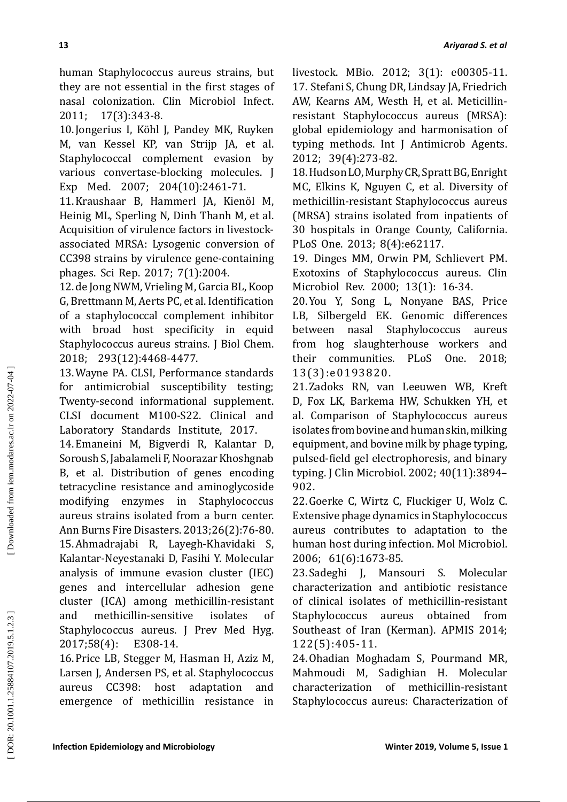human Staphylococcus aureus strains, but they are not essential in the first stages of nasal colonization. Clin Microbiol Infect. 2011; 17(3):343-8.

10.Jongerius I, Köhl J, Pandey MK, Ruyken M, van Kessel KP, van Strijp JA, et al. Staphylococcal complement evasion by various convertase-blocking molecules. J Exp Med. 2007; 204(10):2461-71.

11.Kraushaar B, Hammerl JA, Kienöl M, Heinig ML, Sperling N, Dinh Thanh M, et al. Acquisition of virulence factors in livestockassociated MRSA: Lysogenic conversion of CC398 strains by virulence gene-containing phages. Sci Rep. 2017; 7(1):2004.

12.de Jong NWM, Vrieling M, Garcia BL, Koop G, Brettmann M, Aerts PC, et al. Identification of a staphylococcal complement inhibitor with broad host specificity in equid Staphylococcus aureus strains. J Biol Chem. 2018; 293(12):4468-4477.

13.Wayne PA. CLSI, Performance standards for antimicrobial susceptibility testing; Twenty-second informational supplement. CLSI document M100-S22. Clinical and Laboratory Standards Institute, 2017.

14.Emaneini M, Bigverdi R, Kalantar D, Soroush S, Jabalameli F, Noorazar Khoshgnab B, et al. Distribution of genes encoding tetracycline resistance and aminoglycoside modifying enzymes in Staphylococcus aureus strains isolated from a burn center. Ann Burns Fire Disasters. 2013;26(2):76-80. 15.Ahmadrajabi R, Layegh-Khavidaki S, Kalantar-Neyestanaki D, Fasihi Y. Molecular analysis of immune evasion cluster (IEC) genes and intercellular adhesion gene cluster (ICA) among methicillin-resistant and methicillin-sensitive isolates Staphylococcus aureus. J Prev Med Hyg. 2017;58(4): E308-14.

16.Price LB, Stegger M, Hasman H, Aziz M, Larsen J, Andersen PS, et al. Staphylococcus aureus CC398: host adaptation and emergence of methicillin resistance in livestock. MBio. 2012; 3(1): e00305-11. 17. Stefani S, Chung DR, Lindsay JA, Friedrich AW, Kearns AM, Westh H, et al. Meticillinresistant Staphylococcus aureus (MRSA): global epidemiology and harmonisation of typing methods. Int J Antimicrob Agents. 2012; 39(4):273-82.

18.Hudson LO, Murphy CR, Spratt BG, Enright MC, Elkins K, Nguyen C, et al. Diversity of methicillin-resistant Staphylococcus aureus (MRSA) strains isolated from inpatients of 30 hospitals in Orange County, California. PLoS One. 2013; 8(4):e62117.

19. Dinges MM, Orwin PM, Schlievert PM. Exotoxins of Staphylococcus aureus. Clin Microbiol Rev. 2000; 13(1): 16 ‑34.

20.You Y, Song L, Nonyane BAS, Price LB, Silbergeld EK. Genomic differences between nasal Staphylococcus aureus from hog slaughterhouse workers and<br>their communities. PLoS One. 2018; One. 2018; 13(3):e0193820.

21.Zadoks RN, van Leeuwen WB, Kreft D, Fox LK, Barkema HW, Schukken YH, et al. Comparison of Staphylococcus aureus isolates from bovine and human skin, milking equipment, and bovine milk by phage typing, pulsed-field gel electrophoresis, and binary typing. J Clin Microbiol. 2002; 40(11):3894– 902.

22.Goerke C, Wirtz C, Fluckiger U, Wolz C. Extensive phage dynamics in Staphylococcus aureus contributes to adaptation to the human host during infection. Mol Microbiol. 2006; 61(6):1673-85.

23.Sadeghi J, Mansouri S. Molecular characterization and antibiotic resistance of clinical isolates of methicillin-resistant Staphylococcus aureus obtained from Southeast of Iran (Kerman). APMIS 2014; 122(5):405-11.

24.Ohadian Moghadam S, Pourmand MR, Mahmoudi M, Sadighian H. Molecular characterization of methicillin-resistant Staphylococcus aureus: Characterization of

DOR: 20.1001.1.25884107.2019.5.1.2.3